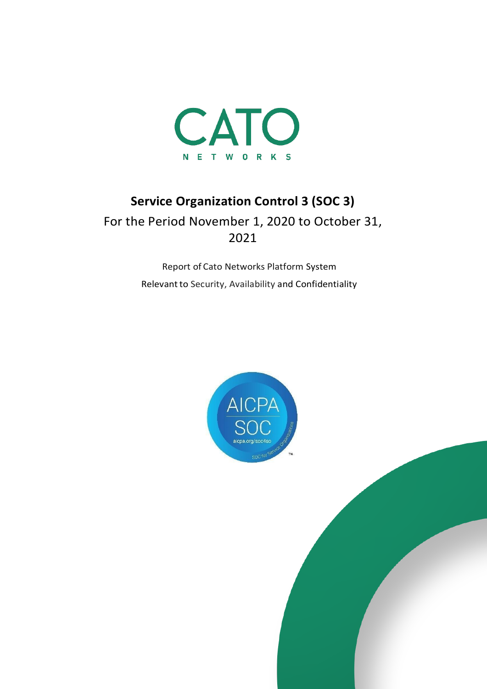

# **Service Organization Control 3 (SOC 3)**

For the Period November 1, 2020 to October 31, 2021

> Report of Cato Networks Platform System Relevant to Security, Availability and Confidentiality



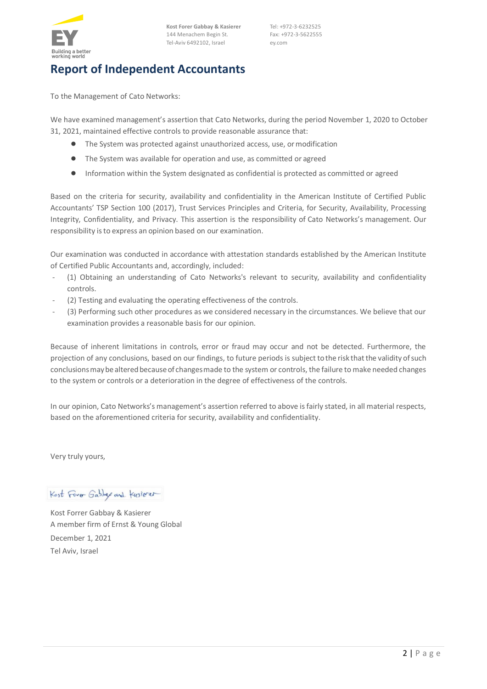

**Kost Forer Gabbay & Kasierer** 144 Menachem Begin St. Tel-Aviv 6492102, Israel

Tel: +972-3-6232525 Fax: +972-3-5622555 ey.com

# **Report of Independent Accountants**

To the Management of Cato Networks:

We have examined [management's assertio](#page-2-0)n that Cato Networks, during the period November 1, 2020 to October 31, 2021, maintained effective controls to provide reasonable assurance that:

- The System was protected against unauthorized access, use, ormodification
- The System was available for operation and use, as committed or agreed
- Information within the System designated as confidential is protected as committed or agreed

Based on the criteria for security, availability and confidentiality in the American Institute of Certified Public Accountants' TSP Section 100 (2017), Trust Services Principles and Criteria, for Security, Availability, Processing Integrity, Confidentiality, and Privacy. This assertion is the responsibility of Cato Networks's management. Our responsibility isto express an opinion based on our examination.

Our examination was conducted in accordance with attestation standards established by the American Institute of Certified Public Accountants and, accordingly, included:

- (1) Obtaining an understanding of Cato Networks's relevant to security, availability and confidentiality controls.
- (2) Testing and evaluating the operating effectiveness of the controls.
- (3) Performing such other procedures as we considered necessary in the circumstances. We believe that our examination provides a reasonable basis for our opinion.

Because of inherent limitations in controls, error or fraud may occur and not be detected. Furthermore, the projection of any conclusions, based on our findings, to future periods is subject tothe risk thatthe validity ofsuch conclusionsmaybealteredbecauseof changesmade to the system or controls, the failure to make needed changes to the system or controls or a deterioration in the degree of effectiveness of the controls.

In our opinion, Cato Networks's management's assertion referred to above is fairly stated, in all material respects, based on the aforementioned criteria for security, availability and confidentiality.

Very truly yours,

Kost Form Gabbas and Kusierer

Kost Forrer Gabbay & Kasierer A member firm of Ernst & Young Global December 1, 2021 Tel Aviv, Israel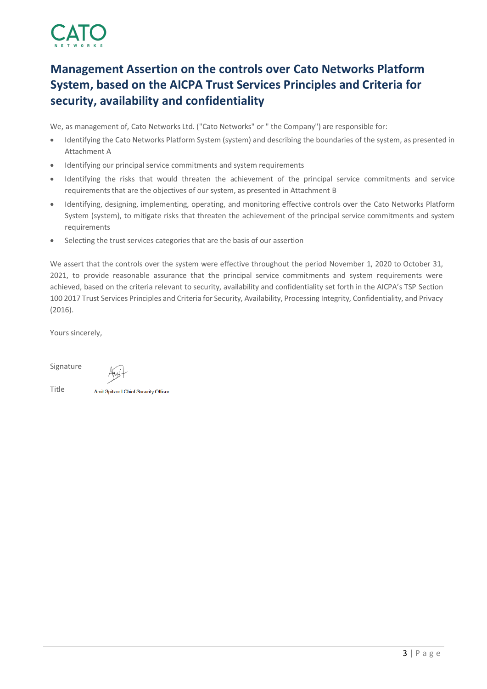

# <span id="page-2-0"></span>**Management Assertion on the controls over Cato Networks Platform System, based on the AICPA Trust Services Principles and Criteria for security, availability and confidentiality**

We, as management of, Cato Networks Ltd. ("Cato Networks" or " the Company") are responsible for:

- Identifying the Cato Networks Platform System (system) and describing the boundaries of the system, as presented in Attachment A
- Identifying our principal service commitments and system requirements
- Identifying the risks that would threaten the achievement of the principal service commitments and service requirements that are the objectives of our system, as presented in Attachment B
- Identifying, designing, implementing, operating, and monitoring effective controls over the Cato Networks Platform System (system), to mitigate risks that threaten the achievement of the principal service commitments and system requirements
- Selecting the trust services categories that are the basis of our assertion

We assert that the controls over the system were effective throughout the period November 1, 2020 to October 31, 2021, to provide reasonable assurance that the principal service commitments and system requirements were achieved, based on the criteria relevant to security, availability and confidentiality set forth in the AICPA's TSP Section 100 2017 Trust Services Principles and Criteria for Security, Availability, Processing Integrity, Confidentiality, and Privacy (2016).

Yours sincerely,

Signature

Title

Amit Spitzer | Chief Security Officer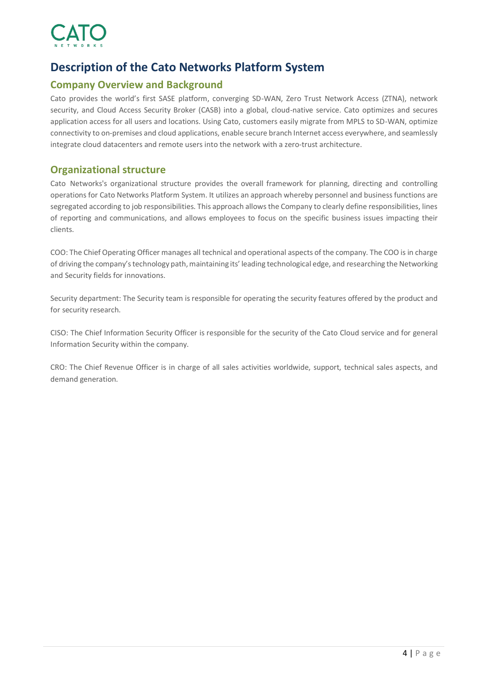

# **Description of the Cato Networks Platform System**

## **Company Overview and Background**

Cato provides the world's first SASE platform, converging SD-WAN, Zero Trust Network Access (ZTNA), network security, and Cloud Access Security Broker (CASB) into a global, cloud-native service. Cato optimizes and secures application access for all users and locations. Using Cato, customers easily migrate from MPLS to SD-WAN, optimize connectivity to on-premises and cloud applications, enable secure branch Internet access everywhere, and seamlessly integrate cloud datacenters and remote users into the network with a zero-trust architecture.

## **Organizational structure**

Cato Networks's organizational structure provides the overall framework for planning, directing and controlling operations for Cato Networks Platform System. It utilizes an approach whereby personnel and business functions are segregated according to job responsibilities. This approach allows the Company to clearly define responsibilities, lines of reporting and communications, and allows employees to focus on the specific business issues impacting their clients.

COO: The Chief Operating Officer manages all technical and operational aspects of the company. The COO is in charge of driving the company's technology path, maintaining its' leading technological edge, and researching the Networking and Security fields for innovations.

Security department: The Security team is responsible for operating the security features offered by the product and for security research.

CISO: The Chief Information Security Officer is responsible for the security of the Cato Cloud service and for general Information Security within the company.

CRO: The Chief Revenue Officer is in charge of all sales activities worldwide, support, technical sales aspects, and demand generation.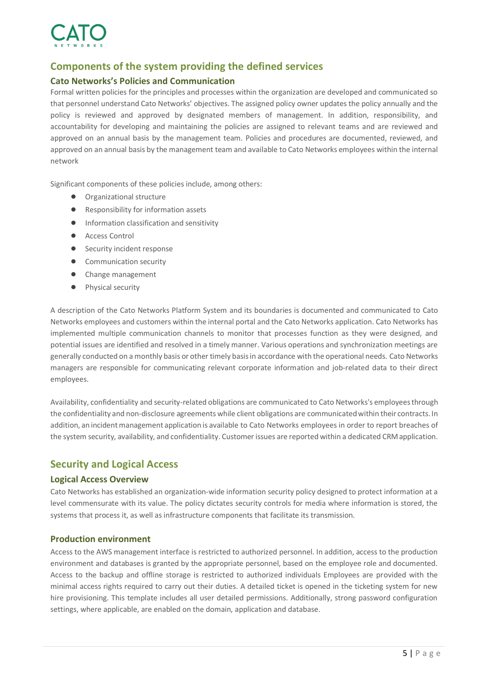

## **Components of the system providing the defined services**

#### **Cato Networks's Policies and Communication**

Formal written policies for the principles and processes within the organization are developed and communicated so that personnel understand Cato Networks' objectives. The assigned policy owner updates the policy annually and the policy is reviewed and approved by designated members of management. In addition, responsibility, and accountability for developing and maintaining the policies are assigned to relevant teams and are reviewed and approved on an annual basis by the management team. Policies and procedures are documented, reviewed, and approved on an annual basis by the management team and available to Cato Networks employees within the internal network

Significant components of these policies include, among others:

- Organizational structure
- Responsibility for information assets
- Information classification and sensitivity
- Access Control
- Security incident response
- Communication security
- Change management
- Physical security

A description of the Cato Networks Platform System and its boundaries is documented and communicated to Cato Networks employees and customers within the internal portal and the Cato Networks application. Cato Networks has implemented multiple communication channels to monitor that processes function as they were designed, and potential issues are identified and resolved in a timely manner. Various operations and synchronization meetings are generally conducted on a monthly basis or other timely basis in accordance with the operational needs. Cato Networks managers are responsible for communicating relevant corporate information and job-related data to their direct employees.

Availability, confidentiality and security-related obligations are communicated to Cato Networks's employeesthrough the confidentiality and non-disclosure agreements while client obligations are communicatedwithin their contracts. In addition, an incident management application is available to Cato Networks employees in order to report breaches of the system security, availability, and confidentiality. Customer issues are reported within a dedicated CRMapplication.

## **Security and Logical Access**

#### **Logical Access Overview**

Cato Networks has established an organization-wide information security policy designed to protect information at a level commensurate with its value. The policy dictates security controls for media where information is stored, the systems that process it, as well as infrastructure components that facilitate its transmission.

#### **Production environment**

Access to the AWS management interface is restricted to authorized personnel. In addition, access to the production environment and databases is granted by the appropriate personnel, based on the employee role and documented. Access to the backup and offline storage is restricted to authorized individuals Employees are provided with the minimal access rights required to carry out their duties. A detailed ticket is opened in the ticketing system for new hire provisioning. This template includes all user detailed permissions. Additionally, strong password configuration settings, where applicable, are enabled on the domain, application and database.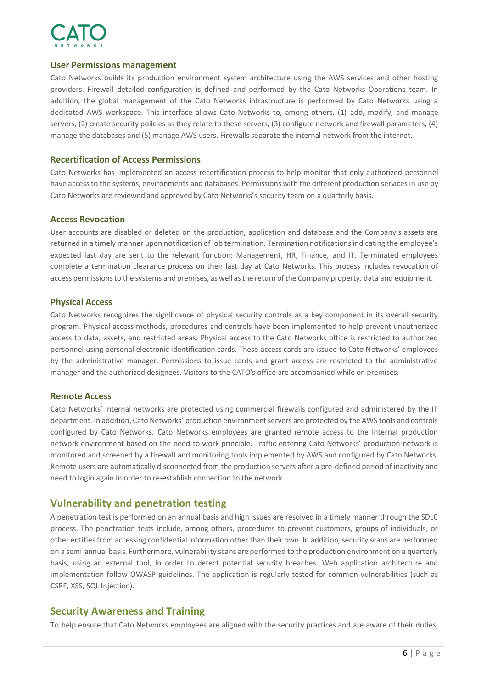

#### **User Permissions management**

Cato Networks builds its production environment system architecture using the AWS services and other hosting providers. Firewall detailed configuration is defined and performed by the Cato Networks Operations team. In addition, the global management of the Cato Networks infrastructure is performed by Cato Networks using a dedicated AWS workspace. This interface allows Cato Networks to, among others, (1) add, modify, and manage servers, (2) create security policies as they relate to these servers, (3) configure network and firewall parameters, (4) manage the databases and (5) manage AWS users. Firewalls separate the internal network from the internet.

#### **Recertification of Access Permissions**

Cato Networks has implemented an access recertification process to help monitor that only authorized personnel have accessto the systems, environments and databases. Permissions with the different production services in use by Cato Networks are reviewed and approved by Cato Networks's security team on a quarterly basis.

#### **Access Revocation**

User accounts are disabled or deleted on the production, application and database and the Company's assets are returned in a timely manner upon notification of job termination. Termination notifications indicating the employee's expected last day are sent to the relevant function: Management, HR, Finance, and IT. Terminated employees complete a termination clearance process on their last day at Cato Networks. This process includes revocation of access permissionsto the systems and premises, as well asthe return ofthe Company property, data and equipment.

#### **Physical Access**

Cato Networks recognizes the significance of physical security controls as a key component in its overall security program. Physical access methods, procedures and controls have been implemented to help prevent unauthorized access to data, assets, and restricted areas. Physical access to the Cato Networks office is restricted to authorized personnel using personal electronic identification cards. These access cards are issued to Cato Networks' employees by the administrative manager. Permissions to issue cards and grant access are restricted to the administrative manager and the authorized designees. Visitors to the CATO's office are accompanied while on premises.

#### **Remote Access**

Cato Networks' internal networks are protected using commercial firewalls configured and administered by the IT department. In addition, Cato Networks' production environment servers are protected by the AWS tools and controls configured by Cato Networks. Cato Networks employees are granted remote access to the internal production network environment based on the need-to-work principle. Traffic entering Cato Networks' production network is monitored and screened by a firewall and monitoring tools implemented by AWS and configured by Cato Networks. Remote users are automatically disconnected from the production servers after a pre-defined period of inactivity and need to login again in order to re-establish connection to the network.

## **Vulnerability and penetration testing**

A penetration test is performed on an annual basis and high issues are resolved in a timely manner through the SDLC process. The penetration tests include, among others, procedures to prevent customers, groups of individuals, or other entities from accessing confidential information other than their own. In addition, security scans are performed on a semi-annual basis. Furthermore, vulnerability scans are performed to the production environment on a quarterly basis, using an external tool, in order to detect potential security breaches. Web application architecture and implementation follow OWASP guidelines. The application is regularly tested for common vulnerabilities (such as CSRF, XSS, SQL Injection).

#### **Security Awareness and Training**

To help ensure that Cato Networks employees are aligned with the security practices and are aware of their duties,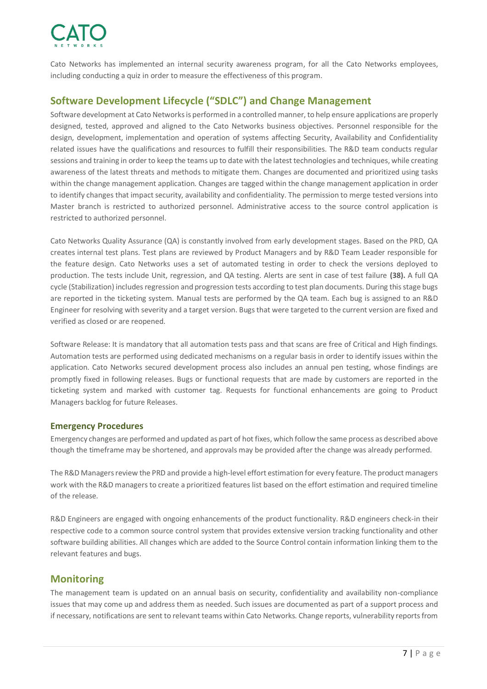

Cato Networks has implemented an internal security awareness program, for all the Cato Networks employees, including conducting a quiz in order to measure the effectiveness of this program.

## **Software Development Lifecycle ("SDLC") and Change Management**

Software development at Cato Networksis performed in a controlled manner, to help ensure applications are properly designed, tested, approved and aligned to the Cato Networks business objectives. Personnel responsible for the design, development, implementation and operation of systems affecting Security, Availability and Confidentiality related issues have the qualifications and resources to fulfill their responsibilities. The R&D team conducts regular sessions and training in order to keep the teams up to date with the latest technologies and techniques, while creating awareness of the latest threats and methods to mitigate them. Changes are documented and prioritized using tasks within the change management application. Changes are tagged within the change management application in order to identify changes that impact security, availability and confidentiality. The permission to merge tested versions into Master branch is restricted to authorized personnel. Administrative access to the source control application is restricted to authorized personnel.

Cato Networks Quality Assurance (QA) is constantly involved from early development stages. Based on the PRD, QA creates internal test plans. Test plans are reviewed by Product Managers and by R&D Team Leader responsible for the feature design. Cato Networks uses a set of automated testing in order to check the versions deployed to production. The tests include Unit, regression, and QA testing. Alerts are sent in case of test failure **(38).** A full QA cycle (Stabilization) includes regression and progression tests according to test plan documents. During this stage bugs are reported in the ticketing system. Manual tests are performed by the QA team. Each bug is assigned to an R&D Engineer for resolving with severity and a target version. Bugs that were targeted to the current version are fixed and verified as closed or are reopened.

Software Release: It is mandatory that all automation tests pass and that scans are free of Critical and High findings. Automation tests are performed using dedicated mechanisms on a regular basis in order to identify issues within the application. Cato Networks secured development process also includes an annual pen testing, whose findings are promptly fixed in following releases. Bugs or functional requests that are made by customers are reported in the ticketing system and marked with customer tag. Requests for functional enhancements are going to Product Managers backlog for future Releases.

#### **Emergency Procedures**

Emergency changes are performed and updated as part of hot fixes, which follow the same process as described above though the timeframe may be shortened, and approvals may be provided after the change was already performed.

The R&D Managers review the PRD and provide a high-level effort estimation for every feature. The product managers work with the R&D managers to create a prioritized features list based on the effort estimation and required timeline of the release.

R&D Engineers are engaged with ongoing enhancements of the product functionality. R&D engineers check-in their respective code to a common source control system that provides extensive version tracking functionality and other software building abilities. All changes which are added to the Source Control contain information linking them to the relevant features and bugs.

## **Monitoring**

The management team is updated on an annual basis on security, confidentiality and availability non-compliance issues that may come up and address them as needed. Such issues are documented as part of a support process and if necessary, notifications are sent to relevant teams within Cato Networks. Change reports, vulnerability reports from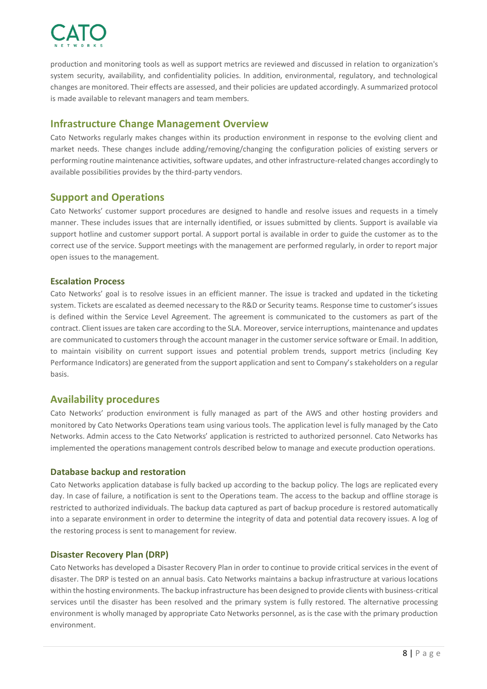

production and monitoring tools as well as support metrics are reviewed and discussed in relation to organization's system security, availability, and confidentiality policies. In addition, environmental, regulatory, and technological changes are monitored. Their effects are assessed, and their policies are updated accordingly. A summarized protocol is made available to relevant managers and team members.

## **Infrastructure Change Management Overview**

Cato Networks regularly makes changes within its production environment in response to the evolving client and market needs. These changes include adding/removing/changing the configuration policies of existing servers or performing routine maintenance activities, software updates, and other infrastructure-related changes accordingly to available possibilities provides by the third-party vendors.

## **Support and Operations**

Cato Networks' customer support procedures are designed to handle and resolve issues and requests in a timely manner. These includes issues that are internally identified, or issues submitted by clients. Support is available via support hotline and customer support portal. A support portal is available in order to guide the customer as to the correct use of the service. Support meetings with the management are performed regularly, in order to report major open issues to the management.

#### **Escalation Process**

Cato Networks' goal is to resolve issues in an efficient manner. The issue is tracked and updated in the ticketing system. Tickets are escalated as deemed necessary to the R&D or Security teams. Response time to customer's issues is defined within the Service Level Agreement. The agreement is communicated to the customers as part of the contract. Client issues are taken care according to the SLA. Moreover, service interruptions, maintenance and updates are communicated to customers through the account manager in the customer service software or Email. In addition, to maintain visibility on current support issues and potential problem trends, support metrics (including Key Performance Indicators) are generated from the support application and sent to Company's stakeholders on a regular basis.

## **Availability procedures**

Cato Networks' production environment is fully managed as part of the AWS and other hosting providers and monitored by Cato Networks Operations team using various tools. The application level is fully managed by the Cato Networks. Admin access to the Cato Networks' application is restricted to authorized personnel. Cato Networks has implemented the operations management controls described below to manage and execute production operations.

#### **Database backup and restoration**

Cato Networks application database is fully backed up according to the backup policy. The logs are replicated every day. In case of failure, a notification is sent to the Operations team. The access to the backup and offline storage is restricted to authorized individuals. The backup data captured as part of backup procedure is restored automatically into a separate environment in order to determine the integrity of data and potential data recovery issues. A log of the restoring process is sent to management for review.

#### **Disaster Recovery Plan (DRP)**

Cato Networks has developed a Disaster Recovery Plan in order to continue to provide critical services in the event of disaster. The DRP is tested on an annual basis. Cato Networks maintains a backup infrastructure at various locations within the hosting environments. The backup infrastructure has been designed to provide clients with business-critical services until the disaster has been resolved and the primary system is fully restored. The alternative processing environment is wholly managed by appropriate Cato Networks personnel, as is the case with the primary production environment.